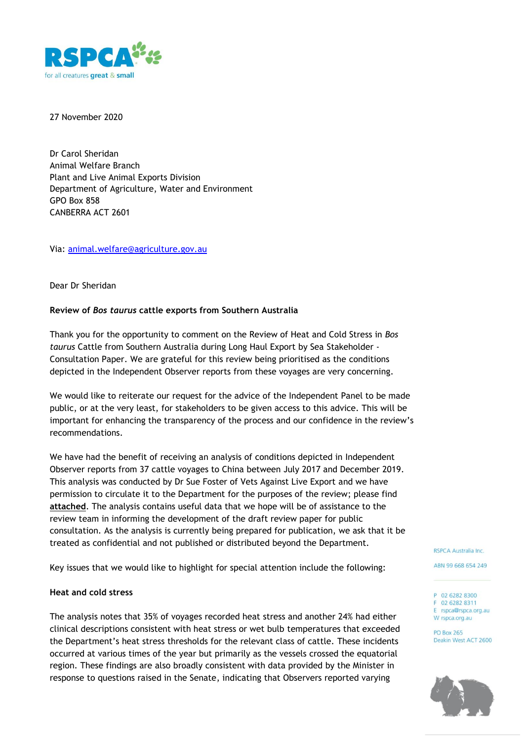

27 November 2020

Dr Carol Sheridan Animal Welfare Branch Plant and Live Animal Exports Division Department of Agriculture, Water and Environment GPO Box 858 CANBERRA ACT 2601

Via: [animal.welfare@agriculture.gov.au](mailto:animal.welfare@agriculture.gov.au)

Dear Dr Sheridan

### **Review of** *Bos taurus* **cattle exports from Southern Australia**

Thank you for the opportunity to comment on the Review of Heat and Cold Stress in *Bos taurus* Cattle from Southern Australia during Long Haul Export by Sea Stakeholder - Consultation Paper. We are grateful for this review being prioritised as the conditions depicted in the Independent Observer reports from these voyages are very concerning.

We would like to reiterate our request for the advice of the Independent Panel to be made public, or at the very least, for stakeholders to be given access to this advice. This will be important for enhancing the transparency of the process and our confidence in the review's recommendations.

We have had the benefit of receiving an analysis of conditions depicted in Independent Observer reports from 37 cattle voyages to China between July 2017 and December 2019. This analysis was conducted by Dr Sue Foster of Vets Against Live Export and we have permission to circulate it to the Department for the purposes of the review; please find **attached**. The analysis contains useful data that we hope will be of assistance to the review team in informing the development of the draft review paper for public consultation. As the analysis is currently being prepared for publication, we ask that it be treated as confidential and not published or distributed beyond the Department.

Key issues that we would like to highlight for special attention include the following:

### **Heat and cold stress**

The analysis notes that 35% of voyages recorded heat stress and another 24% had either clinical descriptions consistent with heat stress or wet bulb temperatures that exceeded the Department's heat stress thresholds for the relevant class of cattle. These incidents occurred at various times of the year but primarily as the vessels crossed the equatorial region. These findings are also broadly consistent with data provided by the Minister in response to questions raised in the Senate, indicating that Observers reported varying

RSPCA Australia Inc.

ABN 99 668 654 249

P 02 6282 8300 F 02 6282 8311 E rspca@rspca.org.au W rspca.org.au

**PO Box 265** Deakin West ACT 2600

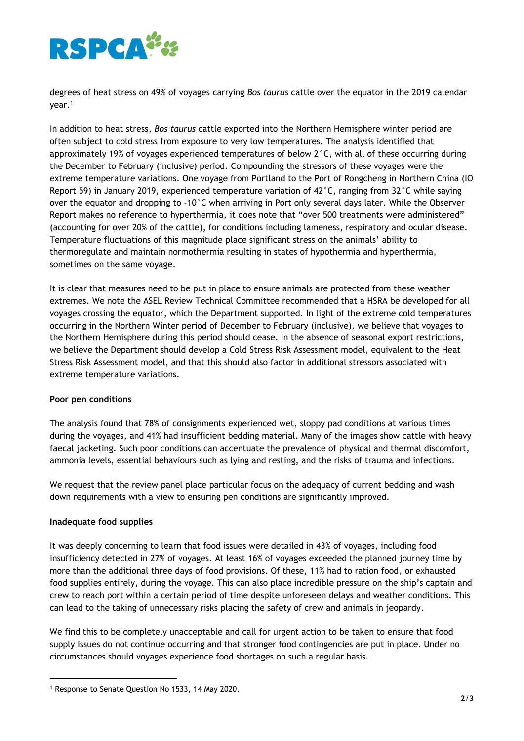

degrees of heat stress on 49% of voyages carrying *Bos taurus* cattle over the equator in the 2019 calendar year. 1

In addition to heat stress, *Bos taurus* cattle exported into the Northern Hemisphere winter period are often subject to cold stress from exposure to very low temperatures. The analysis identified that approximately 19% of voyages experienced temperatures of below 2°C, with all of these occurring during the December to February (inclusive) period. Compounding the stressors of these voyages were the extreme temperature variations. One voyage from Portland to the Port of Rongcheng in Northern China (IO Report 59) in January 2019, experienced temperature variation of  $42^{\circ}$ C, ranging from 32 $^{\circ}$ C while saying over the equator and dropping to -10°C when arriving in Port only several days later. While the Observer Report makes no reference to hyperthermia, it does note that "over 500 treatments were administered" (accounting for over 20% of the cattle), for conditions including lameness, respiratory and ocular disease. Temperature fluctuations of this magnitude place significant stress on the animals' ability to thermoregulate and maintain normothermia resulting in states of hypothermia and hyperthermia, sometimes on the same voyage.

It is clear that measures need to be put in place to ensure animals are protected from these weather extremes. We note the ASEL Review Technical Committee recommended that a HSRA be developed for all voyages crossing the equator, which the Department supported. In light of the extreme cold temperatures occurring in the Northern Winter period of December to February (inclusive), we believe that voyages to the Northern Hemisphere during this period should cease. In the absence of seasonal export restrictions, we believe the Department should develop a Cold Stress Risk Assessment model, equivalent to the Heat Stress Risk Assessment model, and that this should also factor in additional stressors associated with extreme temperature variations.

# **Poor pen conditions**

The analysis found that 78% of consignments experienced wet, sloppy pad conditions at various times during the voyages, and 41% had insufficient bedding material. Many of the images show cattle with heavy faecal jacketing. Such poor conditions can accentuate the prevalence of physical and thermal discomfort, ammonia levels, essential behaviours such as lying and resting, and the risks of trauma and infections.

We request that the review panel place particular focus on the adequacy of current bedding and wash down requirements with a view to ensuring pen conditions are significantly improved.

### **Inadequate food supplies**

It was deeply concerning to learn that food issues were detailed in 43% of voyages, including food insufficiency detected in 27% of voyages. At least 16% of voyages exceeded the planned journey time by more than the additional three days of food provisions. Of these, 11% had to ration food, or exhausted food supplies entirely, during the voyage. This can also place incredible pressure on the ship's captain and crew to reach port within a certain period of time despite unforeseen delays and weather conditions. This can lead to the taking of unnecessary risks placing the safety of crew and animals in jeopardy.

We find this to be completely unacceptable and call for urgent action to be taken to ensure that food supply issues do not continue occurring and that stronger food contingencies are put in place. Under no circumstances should voyages experience food shortages on such a regular basis.

<sup>1</sup> Response to Senate Question No 1533, 14 May 2020.